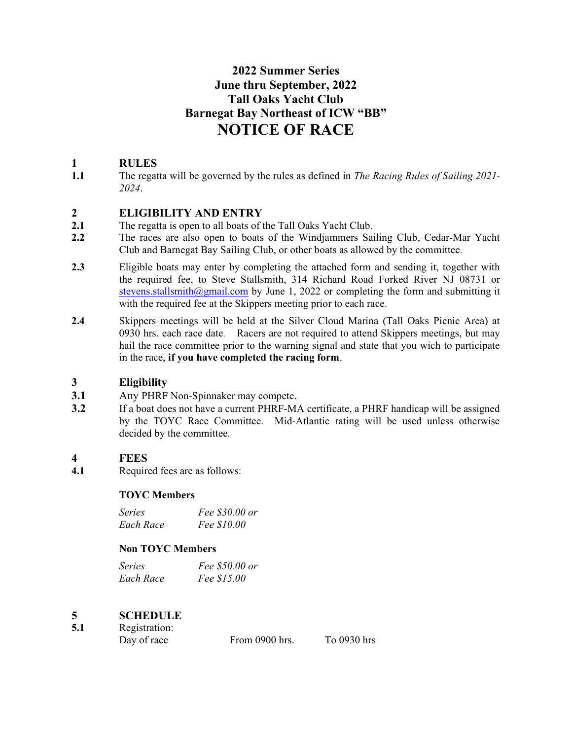# 2022 Summer Series June thru September, 2022 Tall Oaks Yacht Club Barnegat Bay Northeast of ICW "BB" NOTICE OF RACE

## 1 RULES

1.1 The regatta will be governed by the rules as defined in The Racing Rules of Sailing 2021-2024.

## 2 ELIGIBILITY AND ENTRY

- 2.1 The regatta is open to all boats of the Tall Oaks Yacht Club.
- 2.2 The races are also open to boats of the Windjammers Sailing Club, Cedar-Mar Yacht Club and Barnegat Bay Sailing Club, or other boats as allowed by the committee.
- 2.3 Eligible boats may enter by completing the attached form and sending it, together with the required fee, to Steve Stallsmith, 314 Richard Road Forked River NJ 08731 or stevens.stallsmith@gmail.com by June 1, 2022 or completing the form and submitting it with the required fee at the Skippers meeting prior to each race.
- 2.4 Skippers meetings will be held at the Silver Cloud Marina (Tall Oaks Picnic Area) at 0930 hrs. each race date. Racers are not required to attend Skippers meetings, but may hail the race committee prior to the warning signal and state that you wich to participate in the race, if you have completed the racing form.

## 3 Eligibility

- 3.1 Any PHRF Non-Spinnaker may compete.
- 3.2 If a boat does not have a current PHRF-MA certificate, a PHRF handicap will be assigned by the TOYC Race Committee. Mid-Atlantic rating will be used unless otherwise decided by the committee.

## 4 FEES

4.1 Required fees are as follows:

## TOYC Members

| Series    | Fee \$30.00 or |
|-----------|----------------|
| Each Race | Fee \$10.00    |

## Non TOYC Members

| Series    | Fee \$50.00 or |
|-----------|----------------|
| Each Race | Fee \$15.00    |

## 5 SCHEDULE

| 5.1 | Registration: |                |             |  |
|-----|---------------|----------------|-------------|--|
|     | Day of race   | From 0900 hrs. | To 0930 hrs |  |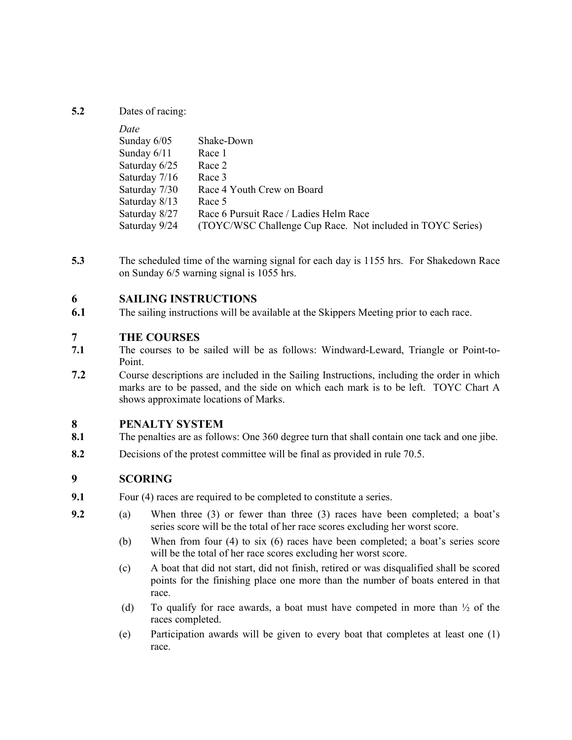#### 5.2 Dates of racing:

| Date          |                                                            |
|---------------|------------------------------------------------------------|
| Sunday $6/05$ | Shake-Down                                                 |
| Sunday $6/11$ | Race 1                                                     |
| Saturday 6/25 | Race 2                                                     |
| Saturday 7/16 | Race 3                                                     |
| Saturday 7/30 | Race 4 Youth Crew on Board                                 |
| Saturday 8/13 | Race 5                                                     |
| Saturday 8/27 | Race 6 Pursuit Race / Ladies Helm Race                     |
| Saturday 9/24 | (TOYC/WSC Challenge Cup Race. Not included in TOYC Series) |

5.3 The scheduled time of the warning signal for each day is 1155 hrs. For Shakedown Race on Sunday 6/5 warning signal is 1055 hrs.

## 6 SAILING INSTRUCTIONS

6.1 The sailing instructions will be available at the Skippers Meeting prior to each race.

## 7 THE COURSES

- 7.1 The courses to be sailed will be as follows: Windward-Leward, Triangle or Point-to-Point.
- 7.2 Course descriptions are included in the Sailing Instructions, including the order in which marks are to be passed, and the side on which each mark is to be left. TOYC Chart A shows approximate locations of Marks.

#### 8 PENALTY SYSTEM

- 8.1 The penalties are as follows: One 360 degree turn that shall contain one tack and one jibe.
- 8.2 Decisions of the protest committee will be final as provided in rule 70.5.

#### 9 SCORING

- 9.1 Four (4) races are required to be completed to constitute a series.
- 9.2 (a) When three (3) or fewer than three (3) races have been completed; a boat's series score will be the total of her race scores excluding her worst score.
	- (b) When from four (4) to six (6) races have been completed; a boat's series score will be the total of her race scores excluding her worst score.
	- (c) A boat that did not start, did not finish, retired or was disqualified shall be scored points for the finishing place one more than the number of boats entered in that race.
	- (d) To qualify for race awards, a boat must have competed in more than  $\frac{1}{2}$  of the races completed.
	- (e) Participation awards will be given to every boat that completes at least one (1) race.